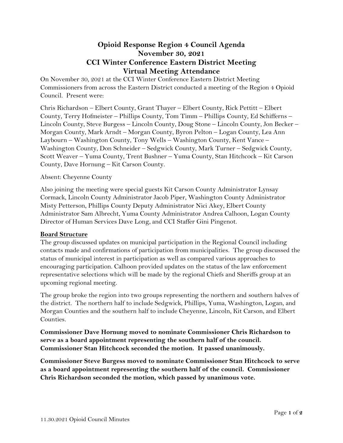# **Opioid Response Region 4 Council Agenda November 30, 2021 CCI Winter Conference Eastern District Meeting Virtual Meeting Attendance**

On November 30, 2021 at the CCI Winter Conference Eastern District Meeting Commissioners from across the Eastern District conducted a meeting of the Region 4 Opioid Council. Present were:

Chris Richardson – Elbert County, Grant Thayer – Elbert County, Rick Pettitt – Elbert County, Terry Hofmeister – Phillips County, Tom Timm – Phillips County, Ed Schifferns – Lincoln County, Steve Burgess – Lincoln County, Doug Stone – Lincoln County, Jon Becker – Morgan County, Mark Arndt – Morgan County, Byron Pelton – Logan County, Lea Ann Laybourn – Washington County, Tony Wells – Washington County, Kent Vance – Washington County, Don Schneider – Sedgwick County, Mark Turner – Sedgwick County, Scott Weaver – Yuma County, Trent Bushner – Yuma County, Stan Hitchcock – Kit Carson County, Dave Hornung – Kit Carson County.

## Absent: Cheyenne County

Also joining the meeting were special guests Kit Carson County Administrator Lynsay Cormack, Lincoln County Administrator Jacob Piper, Washington County Administrator Misty Petterson, Phillips County Deputy Administrator Nici Akey, Elbert County Administrator Sam Albrecht, Yuma County Administrator Andrea Calhoon, Logan County Director of Human Services Dave Long, and CCI Staffer Gini Pingenot.

#### **Board Structure**

The group discussed updates on municipal participation in the Regional Council including contacts made and confirmations of participation from municipalities. The group discussed the status of municipal interest in participation as well as compared various approaches to encouraging participation. Calhoon provided updates on the status of the law enforcement representative selections which will be made by the regional Chiefs and Sheriffs group at an upcoming regional meeting.

The group broke the region into two groups representing the northern and southern halves of the district. The northern half to include Sedgwick, Phillips, Yuma, Washington, Logan, and Morgan Counties and the southern half to include Cheyenne, Lincoln, Kit Carson, and Elbert Counties.

**Commissioner Dave Hornung moved to nominate Commissioner Chris Richardson to serve as a board appointment representing the southern half of the council. Commissioner Stan Hitchcock seconded the motion. It passed unanimously.** 

**Commissioner Steve Burgess moved to nominate Commissioner Stan Hitchcock to serve as a board appointment representing the southern half of the council. Commissioner Chris Richardson seconded the motion, which passed by unanimous vote.**